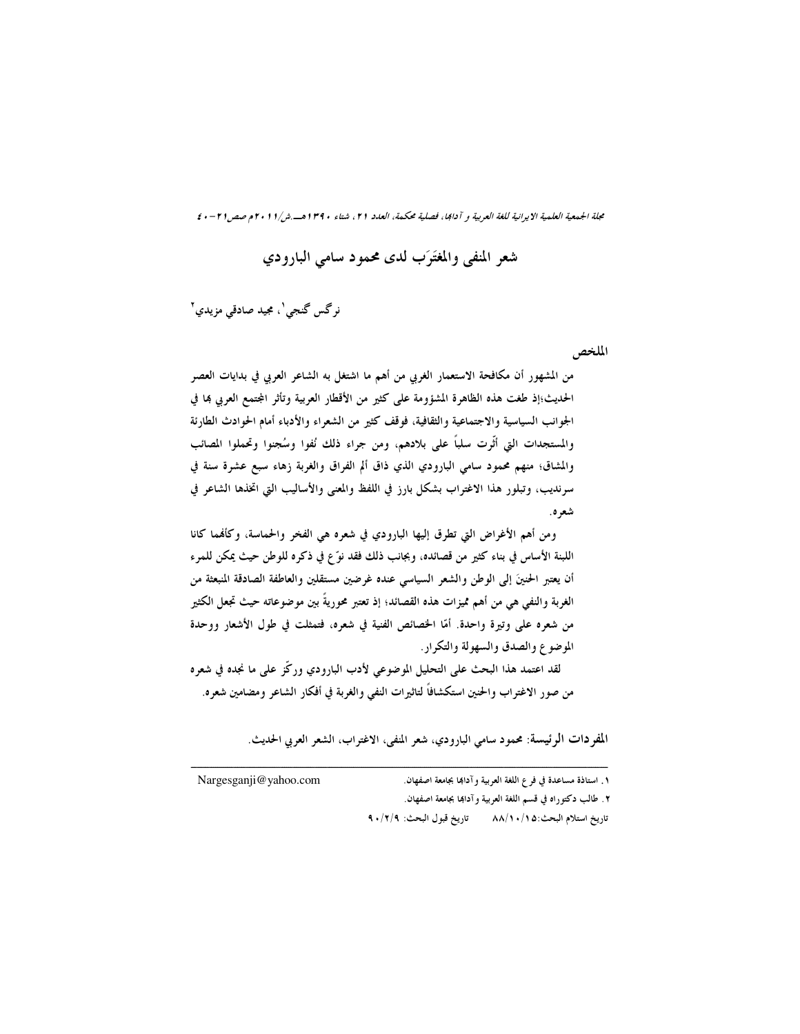مجلة الجمعية العلمية الايرانية للغة العربية و آدابًا، فصلية محكمة، العدد ٢١، شتاء ١٣٩٠هـــ ش/١١٠١م صص١٢-٤٠

شعر المنفي والمغتَرَب لدى محمود سامي البارودي

نرگس گنجي'، مجيد صادقي مزيدي<sup>٢</sup>

الملخص

من المشهور أن مكافحة الاستعمار الغربي من أهم ما اشتغل به الشاعر العربي في بدايات العصر الحديث؛إذ طغت هذه الظاهرة المشؤومة على كثيرٍ من الأقطار العربية وتأثر المجتمع العربي بما في الجوانب السياسية والاجتماعية والثقافية، فوقف كثير من الشعراء والأدباء أمام الحوادث الطارئة والمستجدات التي أثَّرت سلباً على بلادهم، ومن جراء ذلك نُفوا وسُجنوا وتحملوا المصائب والمشاق؛ منهم محمود سامي البارودي الذي ذاق ألم الفراق والغربة زهاء سبع عشرة سنة في سرنديب، وتبلور هذا الاغتراب بشكل بارز في اللفظ والمعنى والأساليب التي اتخذها الشاعر في شعره.

ومن أهم الأغراض التي تطرق إليها البارودي في شعره هي الفخر والحماسة، وكأفمما كانا اللبنة الأساس في بناء كثير من قصائده، وبجانب ذلك فقد نوَّع في ذكره للوطن حيث يمكن للمرء أن يعتبر الحنينَ إلى الوطن والشعر السياسي عنده غرضين مستقلين والعاطفة الصادقة المنبعثة من الغربة والنفي هي من أهم مميزات هذه القصائد؛ إذ تعتبر محوريةً بين موضوعاته حيث تجعل الكثير من شعره على وتيرة واحدة. أمّا الخصائص الفنية في شعره، فتمثلت في طول الأشعار ووحدة الموضوع والصدق والسهولة والتكرار.

لقد اعتمد هذا البحث على التحليل الموضوعي لأدب البارودي وركّز على ما نجده في شعره من صور الاغتراب والحنين استكشافاً لتاثيرات النفي والغربة في أفكار الشاعر ومضامين شعره.

المفردات الرئيسة: محمود سامي البارودي، شعر المنفي، الاغتراب، الشعر العربي الحديث.

Nargesganji@yahoo.com ١ ـ استاذة مساعدة في فرع اللغة العربية وآدابها بجامعة اصفهان. ٢. طالب دكتوراه في قسم اللغة العربية وآدابما بجامعة اصفهان. تاريخ استلام البحث:٨٨/١٠/١٥ \_ تاريخ قبول البحث: ٩٠/٢/٩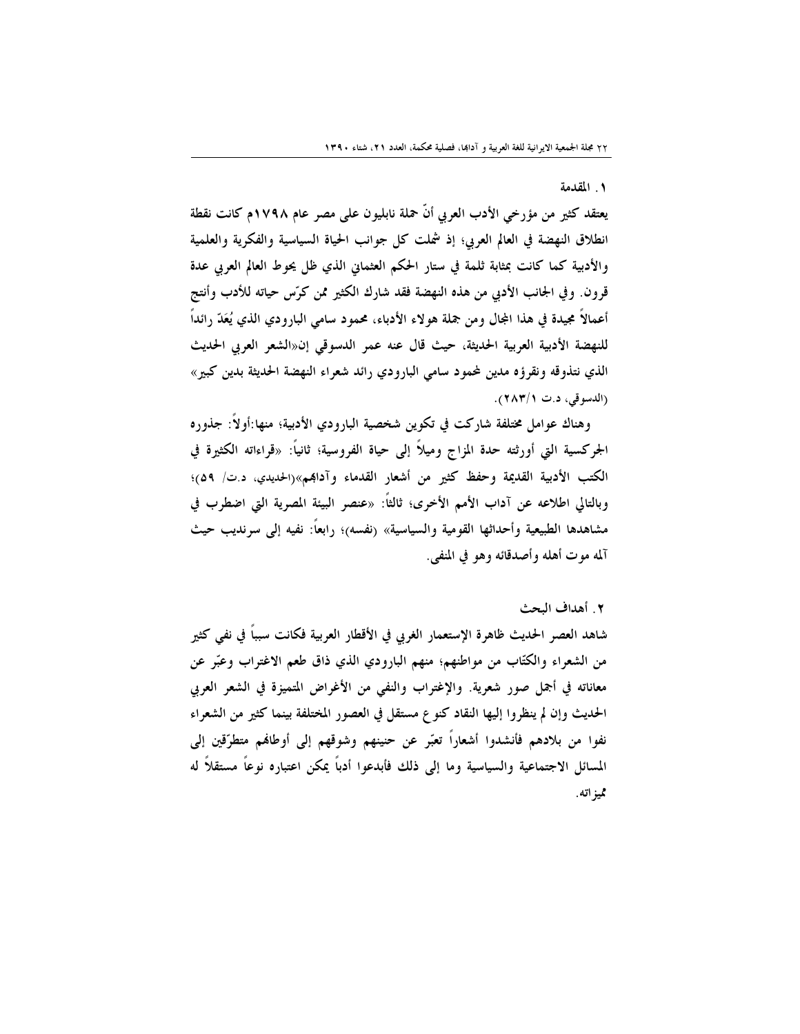## ١. المقدمة

يعتقد كثير من مؤرخي الأدب العربي أنَّ حملة نابليون على مصر عام ١٧٩٨م كانت نقطة انطلاق النهضة في العالم العربي؛ إذ شملت كل جوانب الحياة السياسية والفكرية والعلمية والأدبية كما كانت بمثابة ثلمة في ستار الحكم العثماني الذي ظل يحوط العالم العربي عدة قرون. وفي الجانب الأدبي من هذه النهضة فقد شارك الكثير ممن كرّس حياته للأدب وأنتج أعمالاً مجيدة في هذا المجال ومن جملة هولاء الأدباء، محمود سامي البارودي الذي يُعَدّ رائداً للنهضة الأدبية العربية الحديثة، حيث قال عنه عمر الدسوقي إن«الشعر العربي الحديث الذي نتذوقه ونقرؤه مدين لمحود سامي البارودي رائد شعراء النهضة الحديثة بدين كبير» (الدسوقى، د.ت ٢٨٣/١).

وهناك عوامل مختلفة شاركت في تكوين شخصية البارودي الأدبية؛ منها:أولاً: جذوره الجركسية التي أورثته حدة المزاج وميلاً إلى حياة الفروسية؛ ثانياً: «قراءاته الكثيرة في الكتب الأدبية القديمة وحفظ كثير من أشعار القدماء وآدابهم»(الحديدي، د.ت/ ٥٩)؛ وبالتالي اطلاعه عن آداب الأمم الأخرى؛ ثالثًا: «عنصر البيئة المصرية التي اضطرب في مشاهدها الطبيعية وأحداثها القومية والسياسية» (نفسه)؛ رابعا: نفيه إلى سرنديب حيث آلمه موت أهله وأصدقائه وهو في المنفي.

٢. أهداف البحث

شاهد العصر الحديث ظاهرة الإستعمار الغربي في الأقطار العربية فكانت سبباً في نفي كثير من الشعراء والكتَّاب من مواطنهم؛ منهم البارودي الذي ذاق طعم الاغتراب وعبَّر عن معاناته في أجمل صور شعرية. والإغتراب والنفي من الأغراض المتميزة في الشعر العربي الحديث وإن لم ينظروا إليها النقاد كنوع مستقل في العصور المختلفة بينما كثير من الشعراء نفوا من بلادهم فأنشدوا أشعاراً تعبّر عن حنينهم وشوقهم إلى أوطافمم متطرّقين إلى المسائل الاجتماعية والسياسية وما إلى ذلك فأبدعوا أدباً يمكن اعتباره نوعاً مستقلاً له ثميز اته.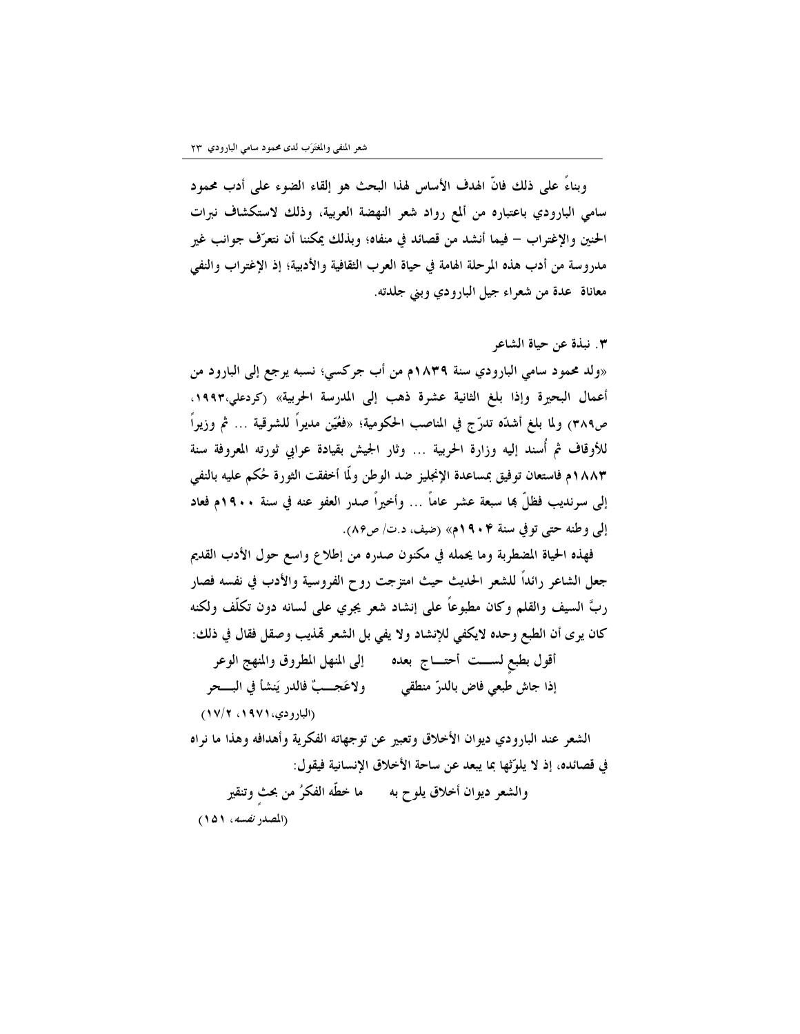وبناءً على ذلك فانَّ الهدف الأساس لهذا البحث هو إلقاء الضوء على أدب محمود سامي البارودي باعتباره من ألمع رواد شعر النهضة العربية، وذلك لاستكشاف نبرات الحنين والإغتراب – فيما أنشد من قصائد في منفاه؛ وبذلك يمكننا أن نتعرَّف جوانب غير مدروسة من أدب هذه المرحلة الهامة في حياة العرب الثقافية والأدبية؛ إذ الإغتراب والنفي معاناة عدة من شعراء جيل البارودي وبني جلدته.

٣. نبذة عن حياة الشاعر

«ولد محمود سامي البارودي سنة ١٨٣٩م من أب جركسي؛ نسبه يرجع إلى البارود من أعمال البحيرة وإذا بلغ الثانية عشرة ذهب إلى المدرسة الحربية» (كردعلى،١٩٩٣، ص٣٨٩) ولما بلغ أشدَّه تدرَّج في المناصب الحكومية؛ «فعُيِّن مديراً للشرقية … ثم وزيراً للأوقاف ثم أُسند إليه وزارة الحربية … وثار الجيش بقيادة عرابى ثورته المعروفة سنة ١٨٨٣م فاستعان توفيق بمساعدة الإنجليز ضد الوطن ولَّا أخفقت الثورة حُكم عليه بالنفي إلى سرنديب فظلَّ ها سبعة عشر عاماً … وأخيراً صدر العفو عنه في سنة ١٩٠٠م فعاد إلى وطنه حتى توفي سنة ١٩٠۴م» (ضيف، د.ت/ ص٨۶).

فهذه الحياة المضطربة وما يحمله في مكنون صدره من إطلاع واسع حول الأدب القديم جعل الشاعر رائداً للشعر الحديث حيث امتزجت روح الفروسية والأدب في نفسه فصار ربَّ السيف والقلم وكان مطبوعاً على إنشاد شعر يجري على لسانه دون تكلَّف ولكنه كان يرى أن الطبع وحده لايكفى للإنشاد ولا يفي بل الشعر قمذيب وصقل فقال في ذلك:

أقول بطبع لســـت أحتــــاج بعده \_\_\_ إلىي المنهل المطروق والمنهج الوعر إذا جاش طبعي فاض بالدرّ منطقي ولاعَجـــبِّ فالدر يَنشأ في البـــحر (البادودي) ١٩٧١، ١٧/٢)

الشعر عند البارودي ديوان الأخلاق وتعبير عن توجهاته الفكرية وأهدافه وهذا ما نراه في قصائده، إذ لا يلوِّثها بما يبعد عن ساحة الأخلاق الإنسانية فيقول:

والشعر ديوان أخلاق يلوح به ما خطَّه الفكرُ من بحث وتنقير (المصدر نفسه، ١٥١)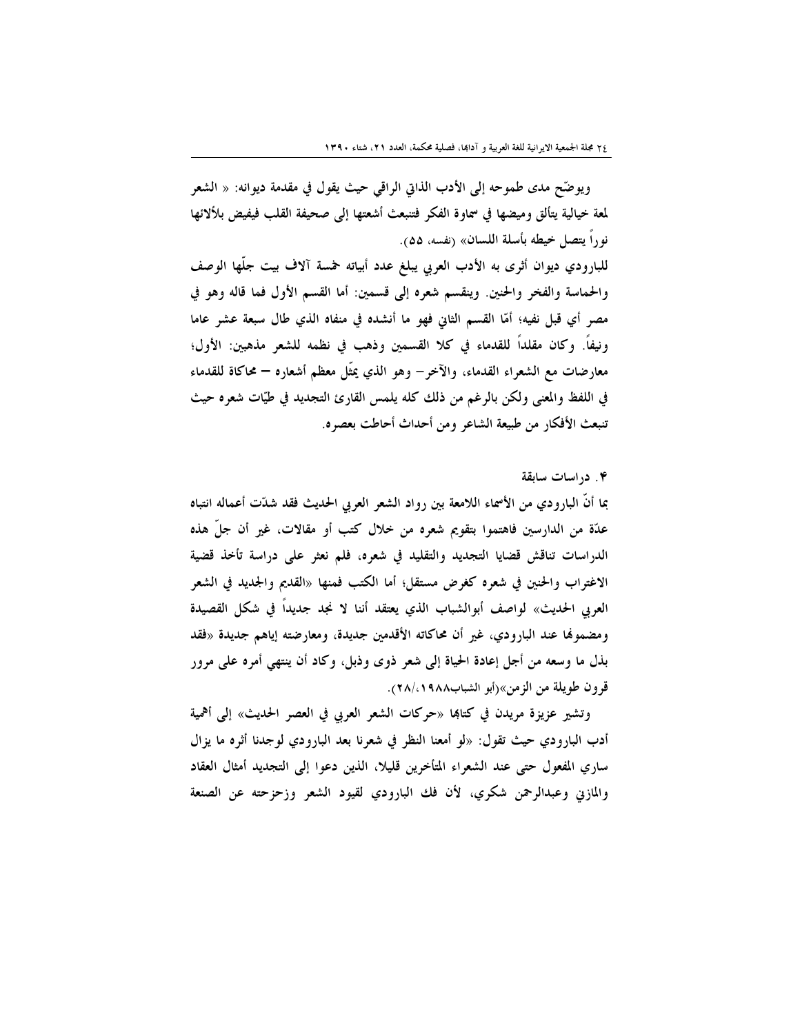ويوضَّح مدى طموحه إلى الأدب الذاتي الراقي حيث يقول في مقدمة ديوانه: « الشعر لمعة خيالية يتألق وميضها في سماوة الفكر فتنبعث أشعتها إلى صحيفة القلب فيفيض بلألائها نوراً يتصل خيطه بأسلة اللسان» (نفسه، ٥٥).

للبارودي ديوان أثرى به الأدب العربي يبلغ عدد أبياته خمسة آلاف بيت جلَّها الوصف والحماسة والفخر والحنين. وينقسم شعره إلى قسمين: أما القسم الأول فما قاله وهو في مصرٍ أي قبل نفيه؛ أمَّا القسم الثاني فهو ما أنشده في منفاه الذي طالٍ سبعةٍ عشرٍ عاما ونيفاً. وكان مقلداً للقدماء في كلا القسمين وذهب في نظمه للشعر مذهبين: الأول؛ معارضات مع الشعراء القدماء، والآخر– وهو الذي يمثّل معظم أشعاره – محاكاة للقدماء في اللفظ والمعنى ولكن بالرغم من ذلك كله يلمس القارئ التجديد في طيّات شعره حيث تنبعث الأفكار من طبيعة الشاعر ومن أحداث أحاطت بعصره.

## ۴. دراسات سابقة

بما أنَّ البارودي من الأسماء اللامعة بين رواد الشعر العربي الحديث فقد شدَّت أعماله انتباه عدّة من الدارسين فاهتموا بتقويم شعره من خلال كتب أو مقالات، غير أن جلّ هذه الدراسات تناقش قضايا التجديد والتقليد في شعره، فلم نعثر على دراسة تأخذ قضية الاغتراب والحنين في شعره كغرض مستقل؛ أما الكتب فمنها «القديم والجديد في الشعر العربي الحديث» لواصف أبوالشباب الذي يعتقد أننا لا نجد جديدا في شكل القصيدة ومضمولها عند البارودي، غير أن محاكاته الأقدمين جديدة، ومعارضته إياهم جديدة «فقد بذل ما وسعه من أجل إعادة الحياة إلى شعرٍ ذوى وذبل، وكاد أن ينتهي أمره على مرور قرون طويلة من الزمن»(أبو الشباب١٩٨٨،/٢٨).

وتشير عزيزة مريدن في كتابما «حركات الشعر العربي في العصر الحديث» إلى أهمية أدب البارودي حيث تقول: «لو أمعنا النظر في شعرنا بعد البارودي لوجدنا أثره ما يزال ساري المفعول حتى عند الشعراء المتأخرين قليلا، الذين دعوا إلى التجديد أمثال العقاد والمازني وعبدالرحمن شكري، لأن فك البارودي لقيود الشعر وزحزحته عن الصنعة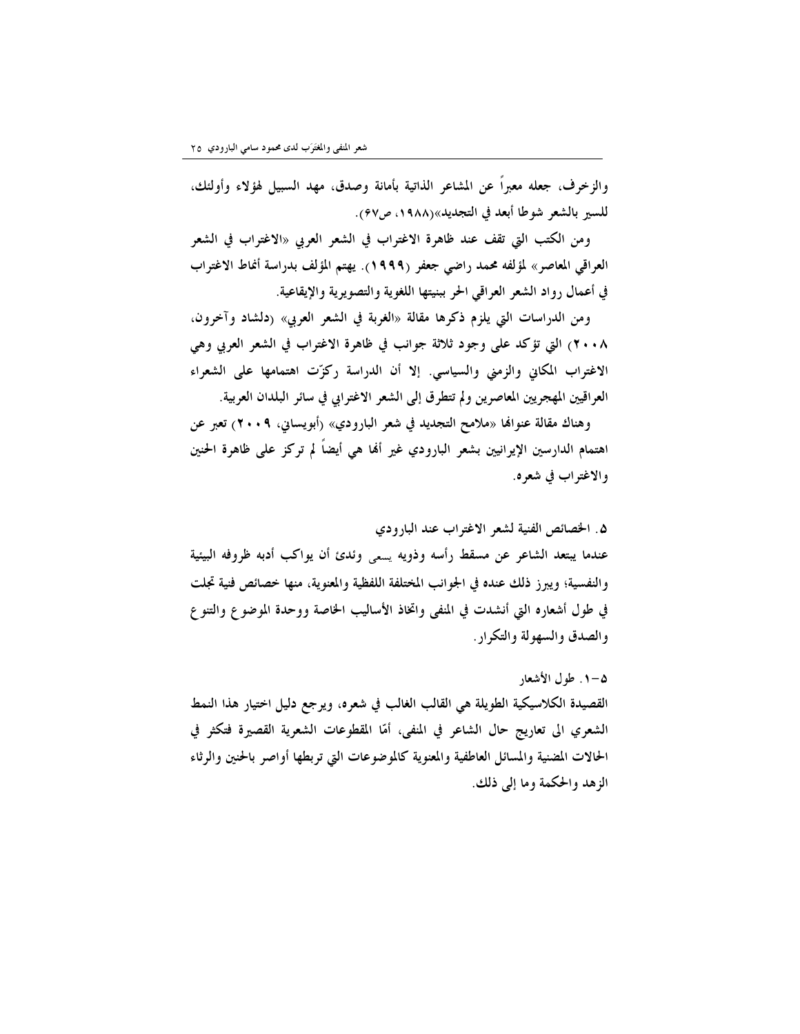والزخرف، جعله معبراً عن المشاعر الذاتية بأمانة وصدق، مهد السبيل لهؤلاء وأولئك، للسير بالشعر شوطا أبعد في التجديد»(١٩٨٨، ص٤٧).

ومن الكتب التي تقف عند ظاهرة الاغتراب في الشعر العربي «الاغتراب في الشعر العراقي المعاصر» لمؤلفه محمد راضي جعفر (١٩٩٩). يهتم المؤلف بدراسة أنماط الاغتراب في أعمال رواد الشعر العراقي الحر ببنيتها اللغوية والتصويرية والإيقاعية.

ومن الدراسات التي يلزم ذكرها مقالة «الغربة في الشعر العربي» (دلشاد وآخرون، ٢٠٠٨) التي تؤكد على وجود ثلاثة جوانب في ظاهرة الاغتراب في الشعر العربي وهي الاغتراب المكاني والزمني والسياسي. إلا أن الدراسة ركزّت اهتمامها على الشعراء العراقيين المهجريين المعاصرين ولم تتطرق إلى الشعر الاغترابي في سائر البلدان العربية.

وهناك مقالة عنوالها «ملامح التجديد في شعر البارودي» (أبويساني، ٢٠٠٩) تعبر عن اهتمام الدارسين الإيرانيين بشعر البارودي غير ألها هي أيضاً لم تركز على ظاهرة الحنين والاغتراب في شعره.

۵. الخصائص الفنية لشعر الاغتراب عند البارودي عندما يبتعد الشاعر عن مسقط رأسه وذويه يسعى وئدئ أن يواكب أدبه ظروفه البيئية والنفسية؛ ويبرز ذلك عنده في الجوانب المختلفة اللفظية والمعنوية، منها خصائص فنية تجلت في طول أشعاره التي أنشدت في المنفى واتخاذ الأساليب الخاصة ووحدة الموضوع والتنوع والصدق والسهولة والتكرار .

۵–۱. طول الأشعار القصيدة الكلاسيكية الطويلة هي القالب الغالب في شعره، ويرجع دليل اختيار هذا النمط الشعري الى تعاريج حال الشاعر في المنفى، أمّا المقطوعات الشعرية القصيرة فتكثر في الحالات المضنية والمسائل العاطفية والمعنوية كالموضوعات التي تربطها أواصر بالحنين والرثاء الزهد والحكمة وما إلى ذلك.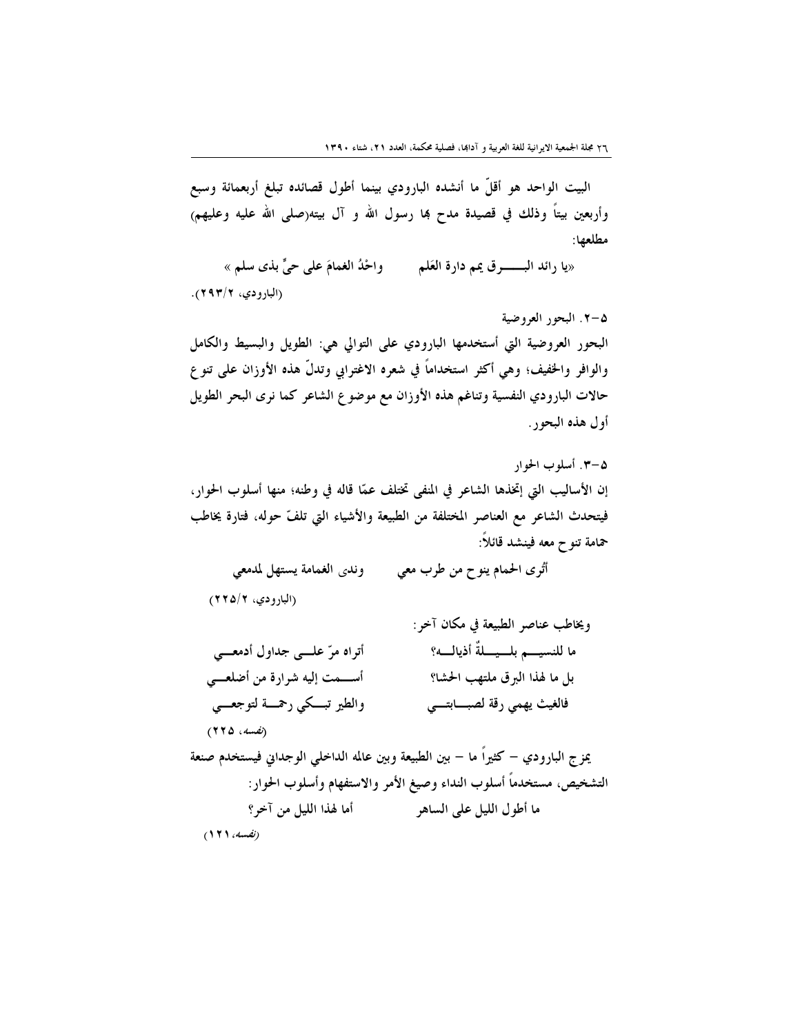البيت الواحد هو أقلَّ ما أنشده البارودي بينما أطول قصائده تبلغ أربعمائة وسبع وأربعين بيتاً وذلك في قصيدة مدح بما رسول الله و آل بيته(صلى الله عليه وعليهم) مطلعها:

واحْدُ الغمامَ علي حيٍّ بذي سلم » «يا رائد البـــــــــــرق يمم دارة العَلـم (البارودي، ۲۹۳/۲).

۵–۲. البحور العروضية البحور العروضية التي أستخدمها البارودي على التوالي هي: الطويل والبسيط والكامل والوافر والخفيف؛ وهي أكثر استخداماً في شعره الاغترابي وتدلُّ هذه الأوزان على تنو ع حالات البارودي النفسية وتناغم هذه الأوزان مع موضوع الشاعر كما نرى البحر الطويل أول هذه البحور .

۵–۳. أسلوب الحوار إن الأساليب التي إتخذها الشاعر في المنفي تختلف عمّا قاله في وطنه؛ منها أسلوب الحوار، فيتحدث الشاعر مع العناصر المختلفة من الطبيعة والأشياء التي تلفّ حوله، فتارة يخاطب حمامة تنو ح معه فينشد قائلاً:

أتُوى الحمام ينوح من طرب معي وندى الغمامة يستهل لمدمعي

(البارودي، ٢/٥/٢٦)

يمز ج البارودي – كثيراً ما – بين الطبيعة وبين عالمه الداخلي الوجداني فيستخدم صنعة التشخيص، مستخدماً أسلوب النداء وصيغ الأمر والاستفهام وأسلوب الحوار : أما لهذا الليل من آخر؟ ما أطول الليل على الساهر  $(111.4...2)$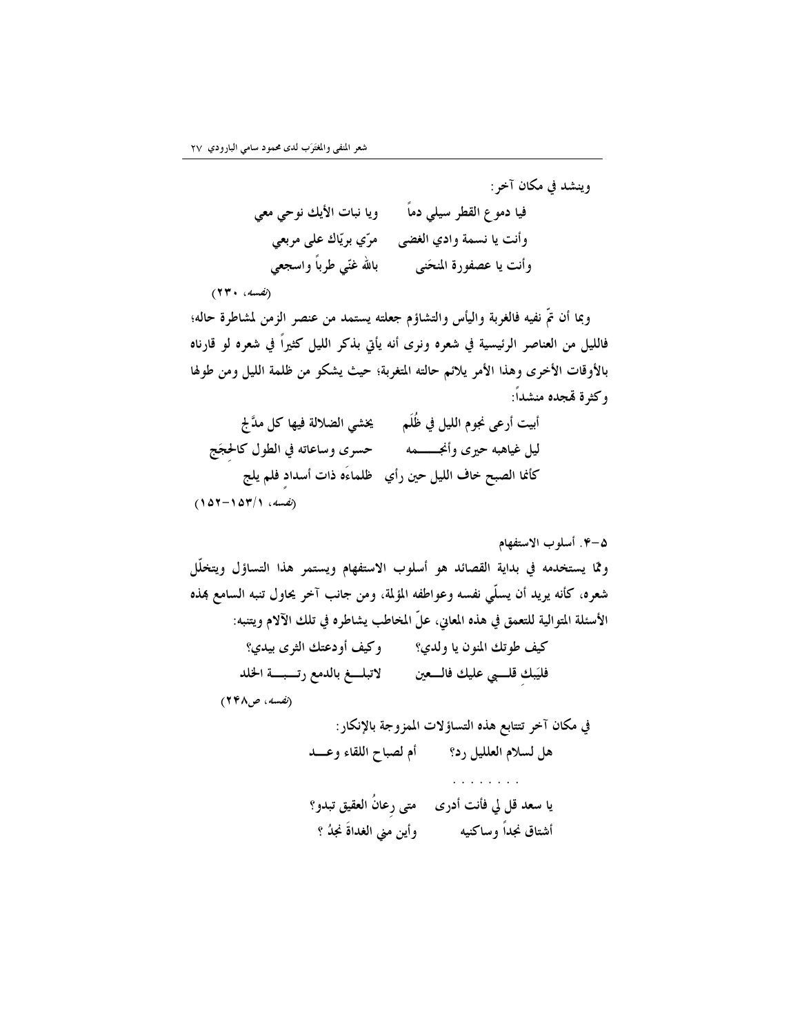وينشد في مكان آخر :

ويا نبات الأيك نوحي معي فيا دمو ع القطر سيلي دماً وأنت يا نسمة وادي الغضي ممرّي بريّاك على مربعي وأنت يا عصفورة المنحَنى في الله غنّي طرباً واسجعي

 $(14 \cdot 4 \cdot 4)$ 

وبما أن تمَّ نفيه فالغربة واليأس والتشاؤم جعلته يستمد من عنصر الزمن لمشاطرة حاله؛ فالليل من العناصر الرئيسية في شعره ونرى أنه يأتي بذكر الليل كثيراً في شعره لو قارناه بالأوقات الأخرى وهذا الأمر يلائم حالته المتغربة؛ حيث يشكو من ظلمة الليل ومن طولها وكثرة قمجده منشداً:

أبيت أرعى نجوم الليل في ظُلَم ۖ يخشى الضلالة فيها كل مدَّلج ليل غياهبه حيري وأنجـــــــمه حسري وساعاته في الطول كالحجَج كأنما الصبح خاف الليل حين رأي طللماءَه ذات أسداد فلم يلج  $(107 - 104/1 \ldots)$ 

۵–۴. أسلوب الاستفهام وممَّا يستخدمه في بداية القصائد هو أسلوب الاستفهام ويستمر هذا التساؤل ويتخلَّل شعره، كأنه يريد أن يسلَّى نفسه وعواطفه المؤلمة، ومن جانب آخر يحاول تنبه السامع بمذه الأسئلة المتوالية للتعمق في هذه المعاني، علَّ المخاطب يشاطره في تلك الآلام ويتنبه: كيف طوتك المنون يا ولدي؟ وكيف أودعتك الثرى بيدي؟ فليَبك قلــبي عليك فالــعين مسلم لاتبلـــغ بالدمع رتـــبـــة الخلد (نفسه، ص۴۸) في مكان آخر تتتابع هذه التساؤلات الممزوجة بالإنكار: هل لسلام العلليل رد؟ مع أم لصباح اللقاء وعـــد يا سعد قل لي فأنت أدرى ہ متى رعانُ العقيق تبدو؟

أشتاق نجداً وساكنيه وأين مني الغداةَ نجدُ ؟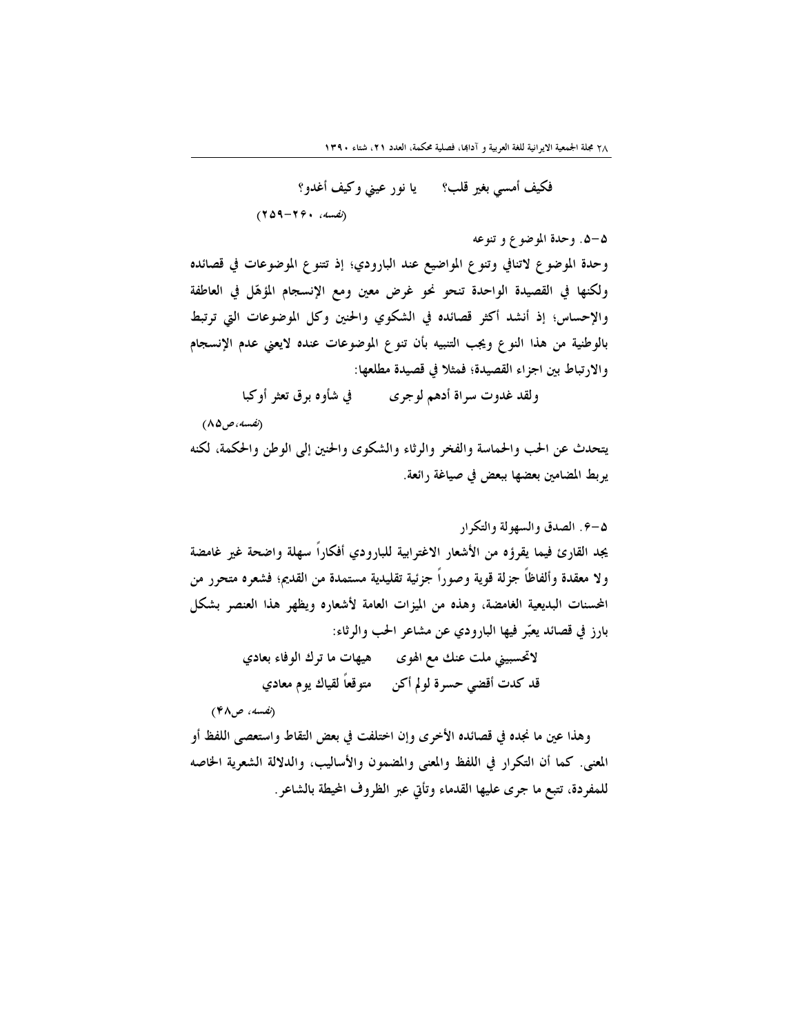۵–۵. وحدة الموضوع و تنوعه

وحدة الموضوع لاتنافي وتنوع المواضيع عند البارودي؛ إذ تتنوع الموضوعات في قصائده ولكنها في القصيدة الواحدة تنحو نحو غرض معين ومع الإنسجام المؤهّل في العاطفة والإحساس؛ إذ أنشد أكثر قصائده في الشكوي والحين وكل الموضوعات التي ترتبط بالوطنية من هذا النوع ويجب التنبيه بأن تنوع الموضوعات عنده لايعني عدم الإنسجام والارتباط بين اجزاء القصيدة؛ فمثلا في قصيدة مطلعها:

ولقد غدوت سراة أدهم لوجري مستسفي في شأوه برق تعثر أوكبا

يتحدث عن الحب والحماسة والفخر والرثاء والشكوى والحنين إلى الوطن والحكمة، لكنه يربط المضامين بعضها ببعض في صياغة رائعة.

لاتحسبيني ملت عنك مع الهوى مع هيهات ما ترك الوفاء بعادي قد كدت أقضى حسرة لولم أكن مصوقعاً لقياك يوم معادي

(نفسه، ص۴۸)

(نفسه، ص ۸۵)

وهذا عين ما نجده في قصائده الأخرى وإن اختلفت في بعض التقاط واستعصى اللفظ أو المعنى. كما أن التكرار في اللفظ والمعنى والمضمون والأساليب، والدلالة الشعرية الخاصه للمفردة، تتبع ما جرى عليها القدماء وتأتى عبر الظروف المحيطة بالشاعر.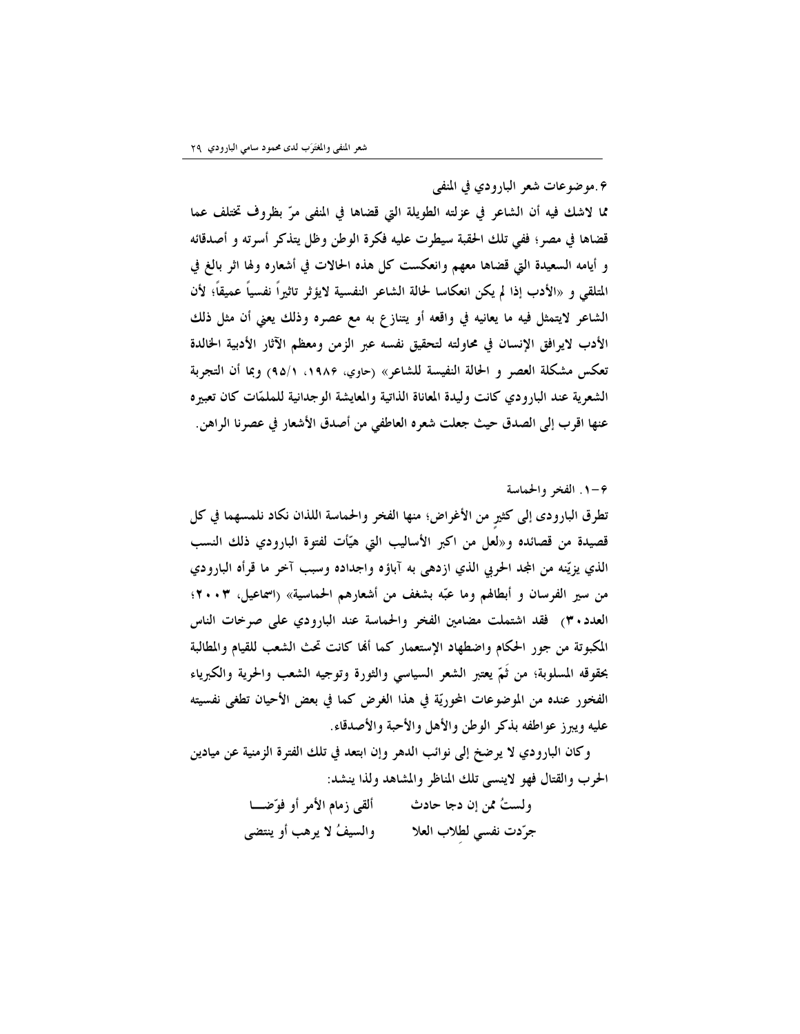تطرق البارودي إلى كثير من الأغراض؛ منها الفخر والحماسة اللذان نكاد نلمسهما في كل قصيدة من قصائده و«لعل من اكبر الأساليب التي هيَّات لفتوة البارودي ذلك النسب الذي يزيّنه من المجد الحربي الذي ازدهي به آباؤه واجداده وسبب آخر ما قرأه البارودي من سير الفرسان و أبطالهم وما عبّه بشغف من أشعارهم الحماسية» (اسماعيل، ٢٠٠٣؛ العدد ٣٠) فقد اشتملت مضامين الفخر والحماسة عند البارودي على صرخات الناس المكبوتة من جور الحكام واضطهاد الإستعمار كما أفما كانت تحث الشعب للقيام والمطالبة بحقوقه المسلوبة؛ من ثَمّ يعتبر الشعر السياسي والثورة وتوجيه الشعب والحرية والكبرياء الفخور عنده من الموضوعات المحوريّة في هذا الغرض كما في بعض الأحيان تطغى نفسيته عليه ويبرز عواطفه بذكر الوطن والأهل والأحبة والأصدقاء.

مما لاشك فيه أن الشاعر في عزلته الطويلة التي قضاها في المنفى مرّ بظروف تختلف عما قضاها في مصر؛ ففي تلك الحقبة سيطرت عليه فكرة الوطن وظل يتذكر أسرته و أصدقائه و أيامه السعيدة التي قضاها معهم وانعكست كل هذه الحالات في أشعاره ولها اثر بالغ في

المتلقى و «الأدب إذا لم يكن انعكاسا لحالة الشاعر النفسية لايؤثر تاثيراً نفسياً عميقاً؛ لأن

الشاعر لايتمثل فيه ما يعانيه في واقعه أو يتنازع به مع عصره وذلك يعني أن مثل ذلك

الأدب لايرافق الإنسان في محاولته لتحقيق نفسه عبر الزمن ومعظم الآثار الأدبية الخالدة

تعكس مشكلة العصر و الحالة النفيسة للشاعر» (حاوي، ١٩٨۶، ٩٥/١) وبما أن التجربة

الشعرية عند البارودي كانت وليدة المعاناة الذاتية والمعايشة الوجدانية للملمّات كان تعبيره عنها اقرب إلى الصدق حيث جعلت شعره العاطفي من أصدق الأشعار في عصرنا الراهن.

وكان البارودي لا يرضخ إلى نوائب الدهر وإن ابتعد في تلك الفترة الزمنية عن ميادين الحرب والقتال فهو لاينسى تلك المناظر والمشاهد ولذا ينشد:

| ألقى زمام الأمر أو فوّضــا | ولستُ ممن إن دجا حادث  |
|----------------------------|------------------------|
| والسيفُ لا يرهب أو ينتضى   | جرّدت نفسي لطلاب العلا |

۰۶–۰. الفخر والحماسة

۶.موضوعات شعر البارودي في المنفي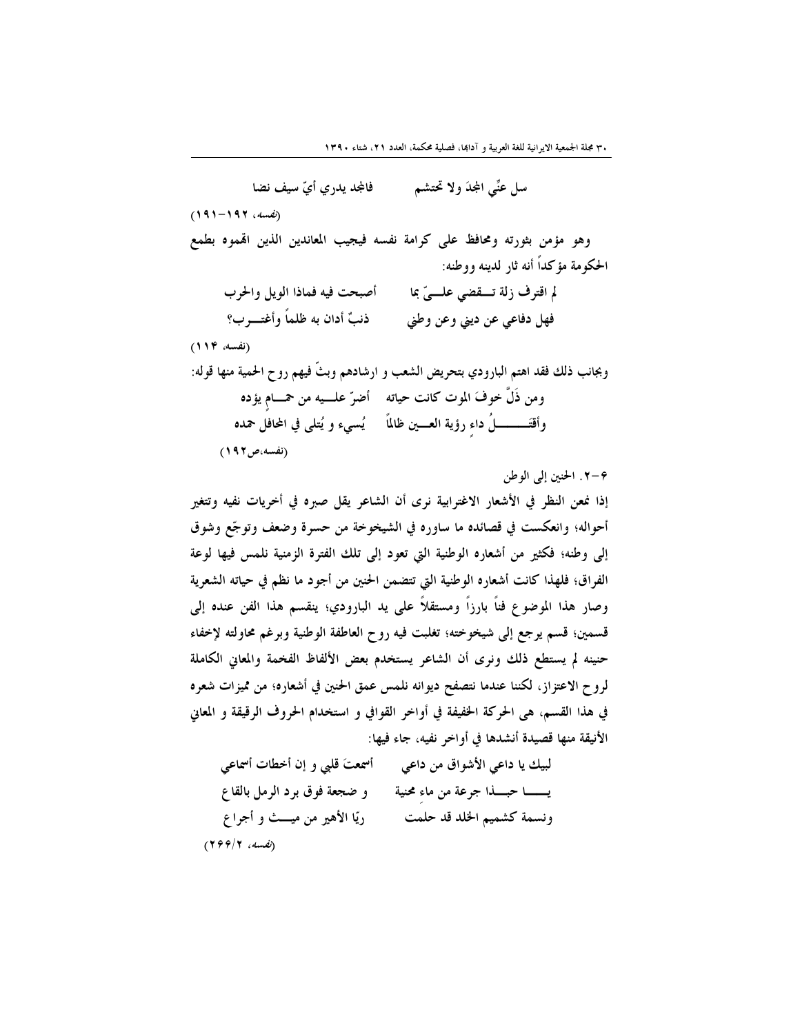فالجد يدري أيّ سيف نضا سل عنِّي المجدَ ولا تحتشم  $(191 - 197 \dots \omega)$ وهو مؤمن بثورته ومحافظ على كرامة نفسه فيجيب المعاندين الذين اقمموه بطمع الحكومة مؤكداً أنه ثار لدينه ووطنه: أصبحت فيه فماذا الويل والحرب لم اقترف زلة تسقضي علــيّ بما ذنبٌ أدان به ظلماً وأغتــــــو ب؟ فهل دفاعي عن ديني وعن وطني  $(119.4)$ وبجانب ذلك فقد اهتم البارودي بتحريض الشعب و ارشادهم وبثٌّ فيهم روح الحمية منها قوله: ومن ذَلٌّ خوفَ الموت كانت حياته ﴿ أَضرَّ علــــيه من حمـــام يؤده وأقتَــــــــــــلُ داء رؤية العــــين ظالمًا ۖ يُسمىء و يُتلمى في المحافل حمده (نفسه،ص۱۹۲)

۶–۲. الحنين إلى الوطن إذا نمعن النظر في الأشعار الاغترابية نرى أن الشاعر يقل صبره في أخريات نفيه وتتغير أحواله؛ وانعكست في قصائده ما ساوره في الشيخوخة من حسرة وضعف وتوجّع وشوق إلى وطنه؛ فكثير من أشعاره الوطنية التي تعود إلى تلك الفترة الزمنية نلمس فيها لوعة الفراق؛ فلهذا كانت أشعاره الوطنية التي تتضمن الحنين من أجود ما نظم في حياته الشعرية وصار هذا الموضوع فناً بارزاً ومستقلاً على يد البارودي؛ ينقسم هذا الفن عنده إلى قسمين؛ قسم يرجع إلى شيخوخته؛ تغلبت فيه روح العاطفة الوطنية وبرغم محاولته لإخفاء حنينه لم يستطع ذلك ونرى أن الشاعر يستخدم بعض الألفاظ الفخمة والمعانى الكاملة لروح الاعتزاز، لكننا عندما نتصفح ديوانه نلمس عمق الحنين في أشعاره؛ من مميزات شعره في هذا القسم، هي الحركة الخفيفة في أواخر القوافي و استخدام الحروف الرقيقة و المعاني الأنيقة منها قصيدة أنشدها في أواخر نفيه، جاء فيها:

لبيك يا داعي الأشواق من داعي مسم أسمعتَ قلبي و إن أخطات أسماعي يــــــــا حبـــــذا جرعة من ماء محنية و ضجعة فوق برد الرمل بالقاع ونسمة كشميم الخلد قد حلمت مسلم ويّا الأهير من ميــث و أجراع  $(19977 \dots 4)$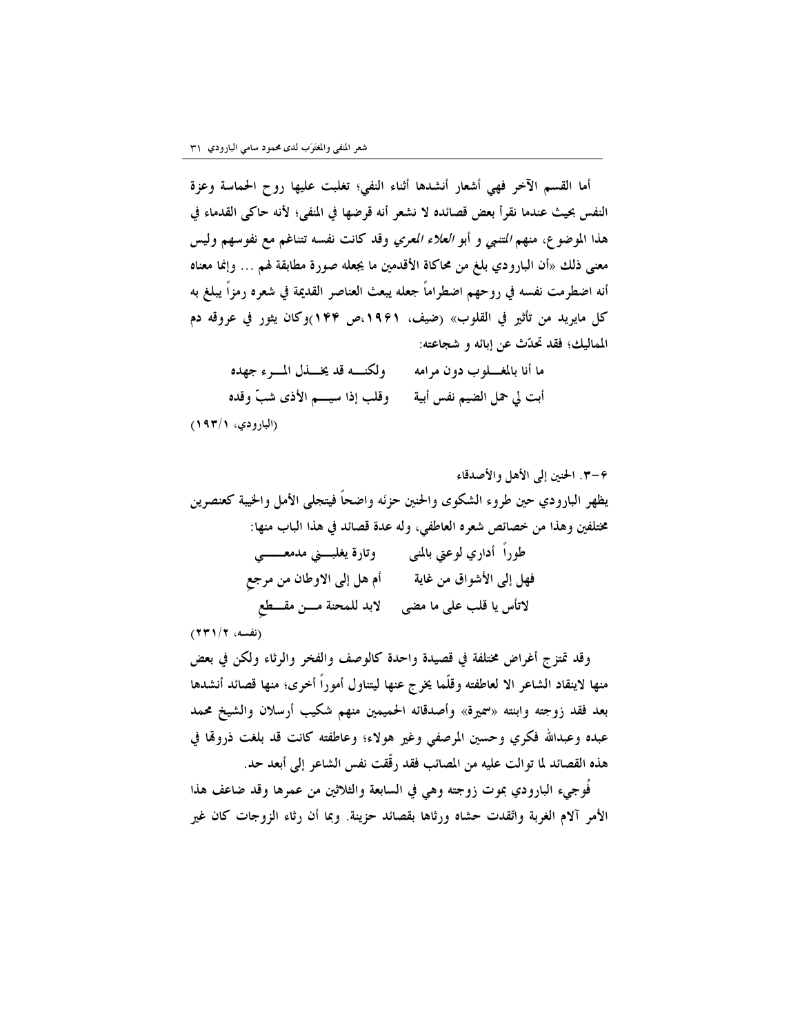أما القسم الآخر فهي أشعار أنشدها أثناء النفي؛ تغلبت عليها روح الحماسة وعزة النفس بحيث عندما نقرأ بعض قصائده لا نشعر أنه قرضها في المنفي؛ لأنه حاكي القدماء في هذا الموضوع، منهم *المتنبي و* أبو *العلاء المعري* وقد كانت نفسه تتناغم مع نفوسهم وليس معنى ذلك «أن البارودي بلغ من محاكاة الأقدمين ما يجعله صورة مطابقة لهم … وإنما معناه أنه اضطرمت نفسه في روحهم اضطراماً جعله يبعث العناصر القديمة في شعره رمزاً يبلغ به كل مايويد من تأثير في القلوب» (ضيف، ١٩٤١،ص ١۴۴)وكان يثور في عروقه دم المماليك؛ فقد تحدّث عن إبائه و شجاعته:

ولكنـــه قد يخــــذل المـــــو ء جهده ما أنا بالمغــــلوب دون مرامه أبت لي حمل الضيم نفس أبية مسوقلب إذا سيسم الأذي شبّ وقده (البارودي، ١٩٣/١)

٣-٣. الحنين إلى الأهل والأصدقاء يظهر البارودي حين طروء الشكوى والحنين حزنه واضحاً فيتجلى الأمل والخيبة كعنصرين مختلفين وهذا من خصائص شعره العاطفي، وله عدة قصائد في هذا الباب منها: طوراً أداري لوعتي بالمنبي مستسمى وتارة يغلبهني مدمعـــــــي

أم هل إلى الاوطان من مرجع فهل إلى الأشواق من غاية لاتأس يا قلب على ما مضى لابد للمحنة مـــن مقـــطع

(نفسه، ٢٣١/٢)

وقد تمتزج أغراض مختلفة في قصيدة واحدة كالوصف والفخر والرثاء ولكن في بعض منها لاينقاد الشاعر الا لعاطفته وقلَّما يخرج عنها ليتناول أموراً أخرى؛ منها قصائد أنشدها بعد فقد زوجته وابنته «سميرة» وأصدقائه الحميمين منهم شكيب أرسلان والشيخ محمد عبده وعبدالله فكري وحسين المرصفي وغير هولاء؛ وعاطفته كانت قد بلغت ذروقما في هذه القصائد لما توالت عليه من المصائب فقد رقَّقت نفس الشاعر إلى أبعد حد.

فَوجيء البارودي بموت زوجته وهي في السابعة والثلاثين من عمرها وقد ضاعف هذا الأمر آلام الغربة واتَّقدت حشاه ورثاها بقصائد حزينة. وبما أن رثاء الزوجات كان غير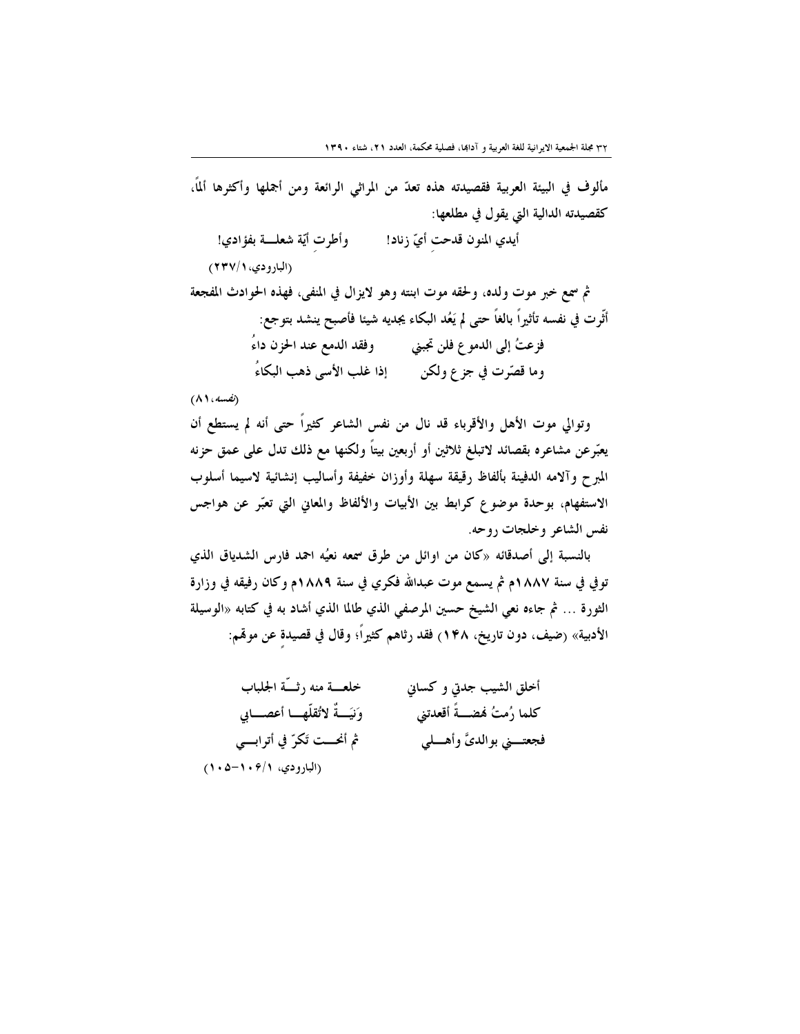مألوف في البيئة العربية فقصيدته هذه تعدّ من المراثي الرائعة ومن أجملها وأكثرها ألمًا، كقصيدته الدالية التي يقول في مطلعها: وأطرت أيّة شعلــة بفؤادي! أيدي المنون قدحت أيّ زناد! (البارودي، ٢٣٧/١) ثم سمع خبر موت ولده، ولحقه موت ابنته وهو لايزال في المنفى، فهذه الحوادث المفجعة أَثْرِت في نفسه تأثيراً بالغاً حتى لم يَعُد البكاء يجديه شيئا فأصبح ينشد بتوجع: فزعتُ إلى الدموع فلن تجبني مستسمر وفقد الدمع عند الحزن داءُ وما قصّرت في جزع ولكن إذا غلب الأسى ذهب البكاءُ

 $(\Lambda)$  ( due)

 $\overline{(}$ 

وتوالي موت الأهل والأقرباء قد نال من نفس الشاعر كثيراً حتى أنه لم يستطع أن يعبّرعن مشاعره بقصائد لاتبلغ ثلاثين أو أربعين بيتاً ولكنها مع ذلك تدل على عمق حزنه المبرح وآلامه الدفينة بألفاظ رقيقة سهلة وأوزان خفيفة وأساليب إنشائية لاسيما أسلوب الاستفهام، بوحدة موضوع كرابط بين الأبيات والألفاظ والمعانى التي تعبّر عن هواجس نفس الشاعر وخلجات روحه.

بالنسبة إلى أصدقائه «كان من اوائل من طرق سمعه نعيُه احمد فارس الشدياق الذي توفي في سنة ١٨٨٧م ثم يسمع موت عبدالله فكري في سنة ١٨٨٩م وكان رفيقه في وزارة الثورة … ثم جاءه نعى الشيخ حسين المرصفى الذي طالما الذي أشاد به في كتابه «الوسيلة الأدبية» (ضيف، دون تاريخ، ١۴٨) فقد رثاهم كثيراً؛ وقال في قصيدة عن موقم:

| خلعـــة منه رثـــَّة الجلباب      | أخلق الشيب جدتي و كساني      |
|-----------------------------------|------------------------------|
| وَنيَـــةٌ لاتُقلّهـــا أعصـــابي | كلما رُمتُ هُضِــةً أقعدتني  |
| ثم أنحست تَكرّ في أترابسي         | فجعتـــني بوالديَّ وأهــــلي |
| (البارودي، ۶/۱۰۶–۱۰۵              |                              |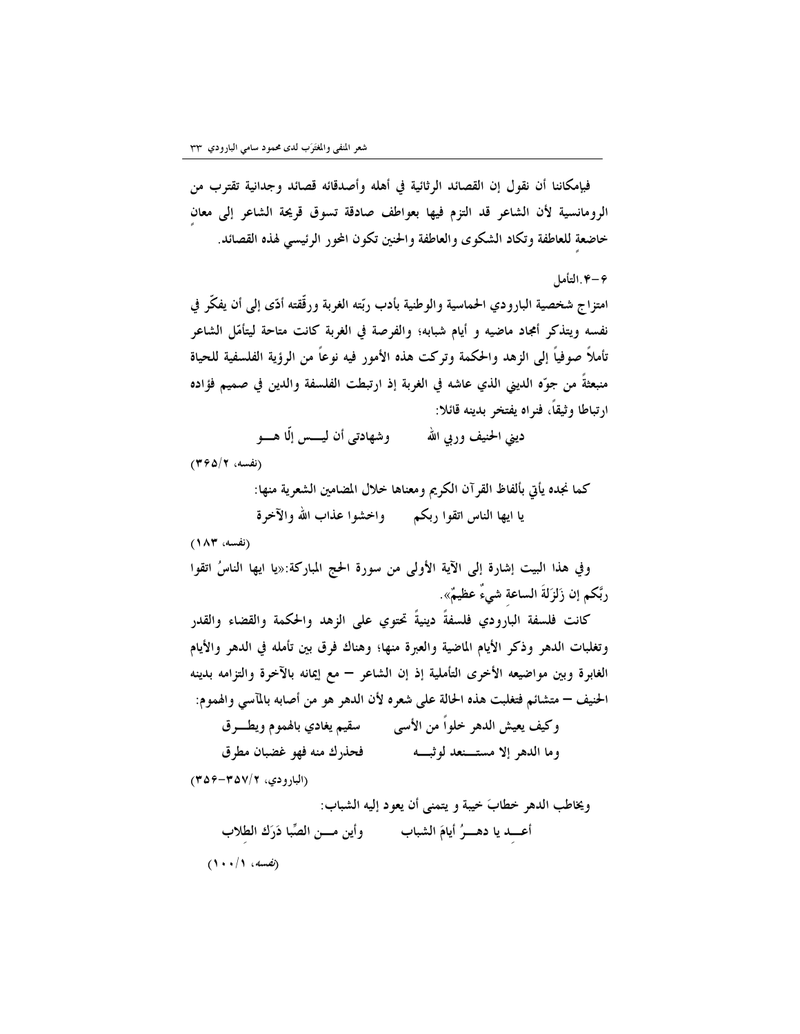فبإمكاننا أن نقول إن القصائد الرثائية في أهله وأصدقائه قصائد وجدانية تقترب من الرومانسية لأن الشاعر قد التزم فيها بعواطف صادقة تسوق قريحة الشاعر إلى معان خاضعة للعاطفة وتكاد الشكوى والعاطفة والحنين تكون المحور الرئيسي لهذه القصائد.

## ۴–۴. التأمل

امتزاج شخصية البارودي الحماسية والوطنية بأدب ربّته الغربة ورقَّقته أدّى إلى أن يفكِّر في نفسه ويتذكر أمجاد ماضيه و أيام شبابه؛ والفرصة في الغربة كانت متاحة ليتأمَّل الشاعر تأملاً صوفياً إلى الزهد والحكمة وتركت هذه الأمور فيه نوعاً من الرؤية الفلسفية للحياة منبعثةَ من جوَّه الديني الذي عاشه في الغربة إذ ارتبطت الفلسفة والدين في صميم فؤاده ارتباطا وثيقاً، فنواه يفتخر بدينه قائلا:

> وشهادتي أن ليـــس إلَّا هـــو دینی الحنیف وربی الله

 $(1980)$ (نفسه،  $1990$ 

كما نجده يأتي بألفاظ القرآن الكريم ومعناها خلال المضامين الشعرية منها: يا ايها الناس اتقوا ربكم مستوا على الله والآخرة

(نفسه، ١٨٣)

وفي هذا البيت إشارة إلى الآية الأولى من سورة الحج المباركة:«يا ايها الناسُ اتقوا ربَّكم إن زَلزَلَةَ الساعة شيءٌ عظيمٌ».

كانت فلسفة البارودي فلسفةً دينيةً تحتوي على الزهد والحكمة والقضاء والقدر وتغلبات الدهر وذكر الأيام الماضية والعبرة منها؛ وهناك فرق بين تأمله في الدهر والأيام الغابرة وبين مواضيعه الأخرى التأملية إذ إن الشاعر – مع إيمانه بالآخرة والتزامه بدينه الحنيف – متشائم فتغلبت هذه الحالة على شعره لأن الدهر هو من أصابه بالمآسى والهموم:

وكيف يعيش الدهر خلواً من الأسي مسسقيم يغادي بالهموم ويطـــرق فحذرك منه فهو غضبان مطرق وما الدهر إلا مستــنعد لوثبــه

(البارودي، ٣٥٧/٢-٣٥٤)

ويخاطب الدهر خطابَ خيبة و يتمنى أن يعود إليه الشباب: أعــــــــد يا دهـــــرُ أيامَ الشباب وأين مــــن الصِّبا دَرَك الطلاب

 $(1 \cdot \cdot)$   $(4 \cdot \omega i)$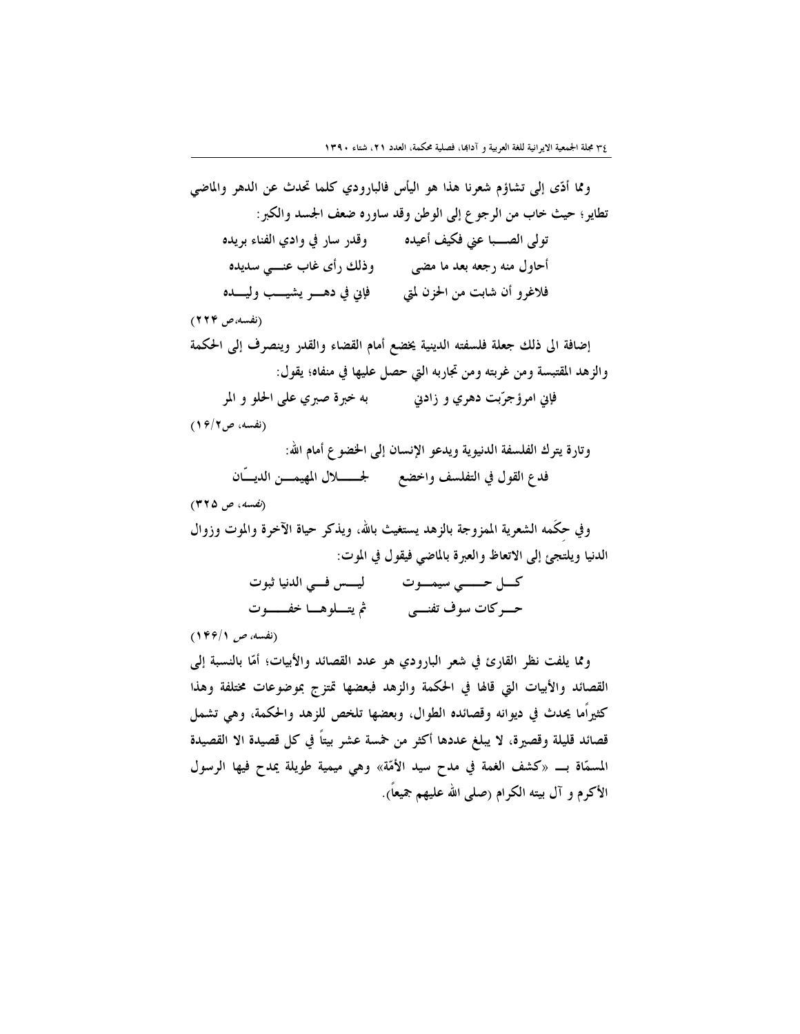ومما أدَّى إلى تشاؤم شعرنا هذا هو اليأس فالبارودي كلما تحدث عن الدهر والماضي تطاير؛ حيث خاب من الرجوع إلى الوطن وقد ساوره ضعف الجسد والكبر : تولى الصــــبا عني فكيف أعيده مصمس وقدر سار في وادي الفناء بريده فلاغرو أن شابت من الحزن لمتى مسلح فإني في دهــــر يشيــــب وليــــده (نفسه،ص ۲۲۴) إضافة الى ذلك جعلة فلسفته الدينية يخضع أمام القضاء والقدر وينصرف إلى الحكمة والزهد المقتبسة ومن غربته ومن تجاربه التي حصل عليها في منفاه؛ يقول: فإني امرؤجرَّبت دهري و زادني مسمع به خبرة صبري على الحلو و المر  $(19/7)$ (نفسه، ص وتارة يترك الفلسفة الدنيوية ويدعو الإنسان إلى الخضوع أمام الله: (نفسه، ص ۳۲۵) وفي حكَمه الشعرية الممزوجة بالزهد يستغيث بالله، ويذكر حياة الآخرة والموت وزوال الدنيا ويلتجئ إلى الاتعاظ والعبرة بالماضي فيقول في الموت: كسل حسسي سيمسوت ليسس فسي الدنيا ثبوت حسركات سوف تفنسي فتصلوهسا خفسسوت (نفسه، ص ١٢۶/١) ومما يلفت نظر القارئ في شعر البارودي هو عدد القصائد والأبيات؛ أمَّا بالنسبة إلى القصائد والأبيات التي قالها في الحكمة والزهد فبعضها تمتزج بموضوعات مختلفة وهذا كثيراًما يحدث في ديوانه وقصائده الطوال، وبعضها تلخص للزهد والحكمة، وهي تشمل قصائد قليلة وقصيرة، لا يبلغ عددها أكثر من خمسة عشر بيتاً في كل قصيدة الا القصيدة المسمّاة بـــ «كشف الغمة في مدح سيد الأمّة» وهي ميمية طويلة يمدح فيها الرسول الأكرم و آل بيته الكرام (صلى الله عليهم جميعاً).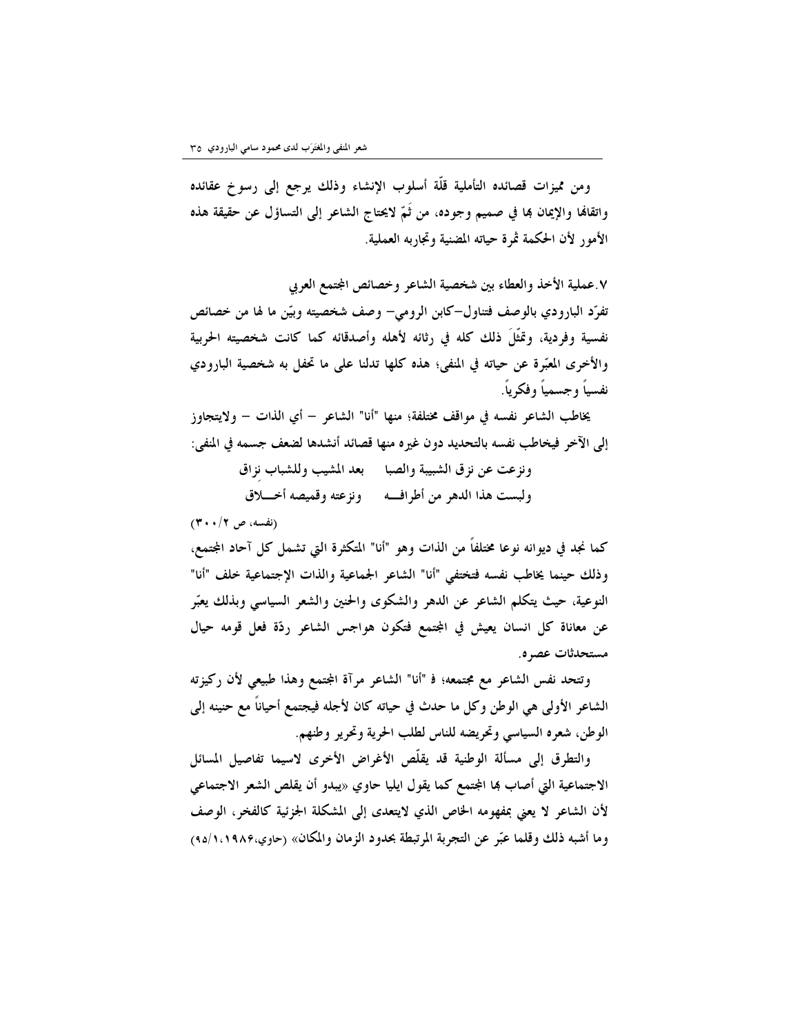ومن مميزات قصائده التأملية قلَّة أسلوب الإنشاء وذلك يرجع إلى رسوخ عقائده واتقالها والإيمان بما في صميم وجوده، من ثمّ لايحتاج الشاعر إلى التساؤل عن حقيقة هذه الأمو, لأن الحكمة ثمرة حياته المضنية وتجاربه العملية.

٧.عملية الأخذ والعطاء بين شخصية الشاعر وخصائص المجتمع العربي تفرَّد البارودي بالوصف فتناول–كابن الرومي– وصف شخصيته وبيَّن ما لها من خصائص نفسية وفردية، وتمثَّلَ ذلك كله في رثائه لأهله وأصدقائه كما كانت شخصيته الحربية والأخرى المعبَّرة عن حياته في المنفي؛ هذه كلها تدلنا على ما تحفل به شخصية البارودي نفسياً وجسمياً وفكرياً.

يخاطب الشاعر نفسه في مواقف مختلفة؛ منها "أنا" الشاعر – أي الذات – ولايتجاوز إلى الآخر فيخاطب نفسه بالتحديد دون غيره منها قصائد أنشدها لضعف جسمه في المفي:

> ونزعت عن نزق الشبيبة والصبا مبعد المشيب وللشباب نزاق ولبست هذا الدهر من أطراف \_ ونزعته وقميصه أحسلاق

(نفسه، ص ۲۰۰/۲)

كما نجد في ديوانه نوعًا مختلفاً من الذات وهو "أنا" المتكثرة التي تشمل كل آحاد المجتمع، وذلك حينما يخاطب نفسه فتختفي "أنا" الشاعر الجماعية والذات الإجتماعية خلف "أنا" النوعية، حيث يتكلم الشاعر عن الدهر والشكوى والحنين والشعر السياسي وبذلك يعبّر عن معاناة كل انسان يعيش في المجتمع فتكون هواجس الشاعر ردّة فعل قومه حيال مستحدثات عصر ٥.

وتتحد نفس الشاعر مع مجتمعه؛ فـ "أنا" الشاعر مرآة المجتمع وهذا طبيعي لأن ركيزته الشاعر الأولى هي الوطن وكل ما حدث في حياته كان لأجله فيجتمع أحياناً مع حنينه إلى الوطن، شعره السياسي وتحريضه للناس لطلب الحرية وتحرير وطنهم.

والتطرق إلى مسألة الوطنية قد يقلِّص الأغراض الأخرى لاسيما تفاصيل المسائل الاجتماعية التي أصاب ها المجتمع كما يقول ايليا حاوي «يبدو أن يقلص الشعر الاجتماعي لأن الشاعر لا يعني بمفهومه الخاص الذي لايتعدى إلى المشكلة الجزئية كالفخر، الوصف وما أشبه ذلك وقلما عبَّر عن التجربة المرتبطة بحدود الزمان والمكان» (حاوي،١٩٨٤،١٩/١٩)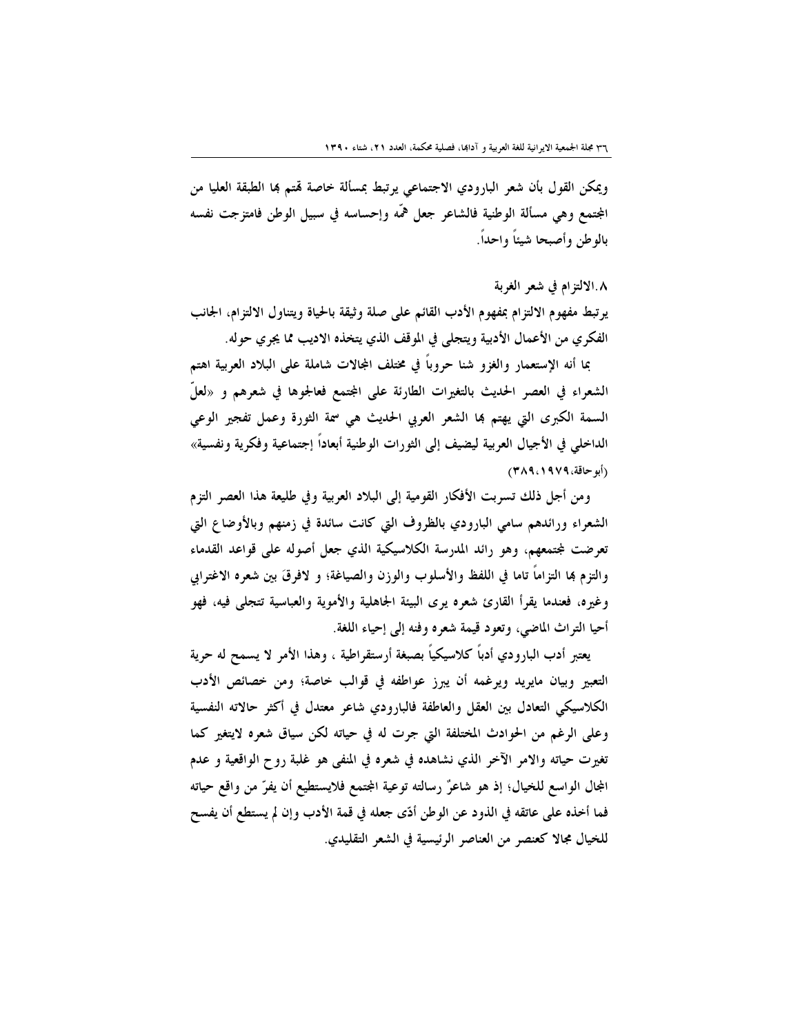ويمكن القول بأن شعر البارودي الاجتماعي يرتبط بمسألة خاصة قمتم بما الطبقة العليا من المجتمع وهي مسألة الوطنية فالشاعر جعل فمَّه وإحساسه في سبيل الوطن فامتزجت نفسه بالوطن وأصبحا شيئاً واحداً.

٠٨.الالتزام في شعر الغربة يرتبط مفهوم الالتزام بمفهوم الأدب القائم على صلة وثيقة بالحياة ويتناول الالتزام، الجانب الفكر ي من الأعمال الأدبية ويتجلى في الموقف الذي يتخذه الاديب مما يجري حوله.

بما أنه الإستعمار والغزو شنا حروباً في مختلف المجالات شاملة على البلاد العربية اهتم الشعراء في العصر الحديث بالتغيرات الطارئة على المجتمع فعالجوها في شعرهم و «لعلَّ السمة الكبرى التي يهتم بما الشعر العربي الحديث هي سمة الثورة وعمل تفجير الوعي الداخلي في الأجيال العربية ليضيف إلى الثورات الوطنية أبعاداً إجتماعية وفكرية ونفسية» (أبو حاقة، ٩٧٩، ٣٨٩)

ومن أجل ذلك تسوبت الأفكار القومية إلى البلاد العربية وفي طليعة هذا العصر التزم الشعراء ورائدهم سامي البارودي بالظروف التي كانت سائدة في زمنهم وبالأوضاع التي تعرضت لمجتمعهم، وهو رائد المدرسة الكلاسيكية الذي جعل أصوله على قواعد القدماء والتزم بما التزاماً تاما في اللفظ والأسلوب والوزن والصياغة؛ و لافرقَ بين شعره الاغترابي وغيره، فعندما يقرأ القارئ شعره يرى البيئة الجاهلية والأموية والعباسية تتجلى فيه، فهو أحيا التراث الماضي، وتعود قيمة شعره وفنه إلى إحياء اللغة.

يعتبر أدب البارودي أدباً كلاسيكياً بصبغة أرستقراطية ، وهذا الأمر لا يسمح له حرية التعبير وبيان مايريد ويرغمه أن يبرز عواطفه في قوالب خاصة؛ ومن خصائص الأدب الكلاسيكي التعادل بين العقل والعاطفة فالبارودي شاعر معتدل في أكثر حالاته النفسية وعلى الرغم من الحوادث المختلفة التي جرت له في حياته لكن سياق شعره لايتغير كما تغيرت حياته والامر الآخر الذي نشاهده في شعره في المنفى هو غلبة روح الواقعية و عدم المجال الواسع للخيال؛ إذ هو شاعرٌ رسالته توعية المجتمع فلايستطيع أن يفرِّ من واقع حياته فما أخذه على عاتقه في الذود عن الوطن أدّى جعله في قمة الأدب وإن لم يستطع أن يفسح للخيال مجالًا كعنصر من العناصر الرئيسية في الشعر التقليدي.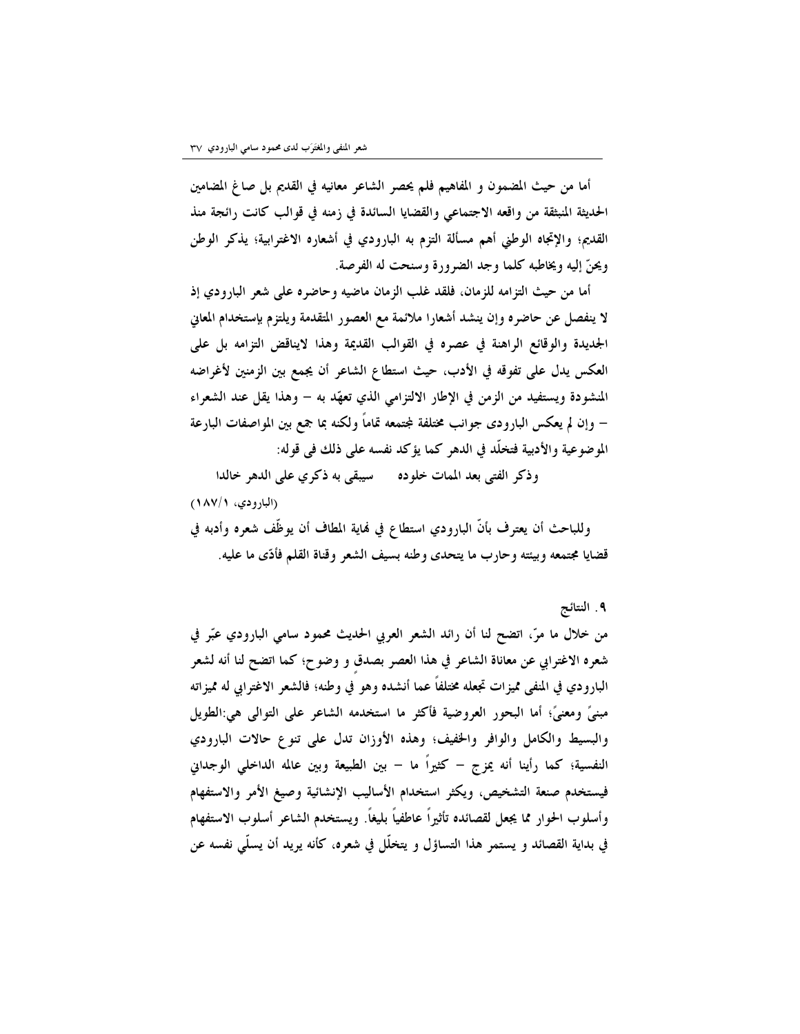أما من حيث المضمون و المفاهيم فلم يحصر الشاعر معانيه في القديم بل صاغ المضامين الحديثة المنبثقة من واقعه الاجتماعي والقضايا السائدة في زمنه في قوالب كانت رائجة منذ القديم؛ والإتجاه الوطني أهم مسألة التزم به البارودي في أشعاره الاغترابية؛ يذكر الوطن ويحنَّ إليه ويخاطبه كلما وجد الضرورة وسنحت له الفرصة.

أما من حيث التزامه للزمان، فلقد غلب الزمان ماضيه وحاضره على شعر البارودي إذ لا ينفصل عن حاضره وإن ينشد أشعارا ملائمة مع العصور المتقدمة ويلتزم بإستخدام المعابي الجديدة والوقائع الراهنة في عصره في القوالب القديمة وهذا لايناقض التزامه بل على العكس يدل على تفوقه في الأدب، حيث استطاع الشاعر أن يجمع بين الزمنين لأغراضه المنشودة ويستفيد من الزمن في الإطار الالتزامي الذي تعهّد به – وهذا يقل عند الشعراء – وإن لم يعكس البارودي جوانب مختلفة لمجتمعه تماماً ولكنه بما جمع بين المواصفات البارعة الموضوعية والأدبية فتخلَّد في الدهر كما يؤكد نفسه على ذلك في قوله:

وذكر الفتى بعد الممات خلوده مسيبقى به ذكري على الدهر خالدا (البارودي، ١٨٧/١) وللباحث أن يعترف بأنَّ البارودي استطاع في فماية المطاف أن يوظَّف شعره وأدبه في

قضايا مجتمعه وبيئته وحارب ما يتحدى وطنه بسيف الشعر وقناة القلم فأدّى ما عليه.

## ٩. النتائج

من خلال ما مرّ، اتضح لنا أن رائد الشعر العربي الحديث محمود سامي البارودي عبّر في شعره الاغترابي عن معاناة الشاعر في هذا العصر بصدق و وضوح؛ كما اتضح لنا أنه لشعر البارودي فى المنفى مميزات تجعله مختلفاً عما أنشده وهو في وطنه؛ فالشعر الاغترابي له مميزاته مبنىً ومعنىً؛ أما البحور العروضية فأكثر ما استخدمه الشاعر على التوالي هي:الطويل والبسيط والكامل والوافر والخفيف؛ وهذه الأوزان تدل على تنوع حالات البارودي النفسية؛ كما رأينا أنه يمزج – كثيراً ما – بين الطبيعة وبين عالمه الداخلي الوجداني فيستخدم صنعة التشخيص، ويكثر استخدام الأساليب الإنشائية وصيغ الأمر والاستفهام وأسلوب الحوار مما يجعل لقصائده تأثيراً عاطفياً بليغاً. ويستخدم الشاعر أسلوب الاستفهام في بداية القصائد و يستمر هذا التساؤل و يتخلَّل في شعره، كأنه يريد أن يسلَّى نفسه عن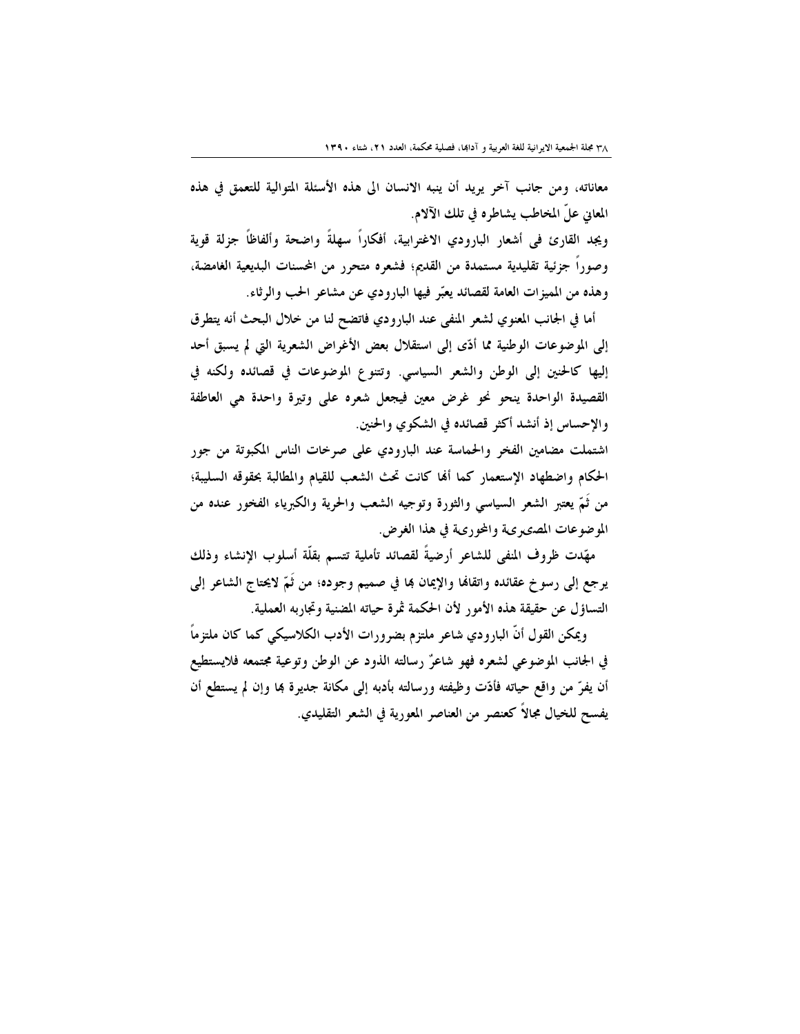معاناته، ومن جانب آخر يريد أن ينبه الانسان الى هذه الأسئلة المتوالية للتعمق في هذه المعاني علَّ المخاطب يشاطره في تلك الآلام.

ويجد القارئ في أشعار البارودي الاغترابية، أفكاراً سهلةً واضحة وألفاظاً جزلة قوية وصوراً جزئية تقليدية مستمدة من القديم؛ فشعره متحرر من المحسنات البديعية الغامضة، وهذه من المميزات العامة لقصائد يعبّر فيها البارودي عن مشاعر الحب والرثاء.

أما في الجانب المعنوي لشعر المنفي عند البارودي فاتضح لنا من خلال البحث أنه يتطرق إلى الموضوعات الوطنية مما أدّى إلى استقلال بعض الأغراض الشعرية التي لم يسبق أحد إليها كالحنين إلى الوطن والشعر السياسي. وتتنوع الموضوعات في قصائده ولكنه في القصيدة الواحدة ينحو نحو غرض معين فيجعل شعره على وتيرة واحدة هي العاطفة والإحساس إذ أنشد أكثر قصائده في الشكوى والحنين.

اشتملت مضامين الفخر والحماسة عند البارودي على صرخات الناس المكبوتة من جور الحكام واضطهاد الإستعمار كما ألها كانت تحث الشعب للقيام والمطالبة بحقوقه السليبة؛ من ثُمَّ يعتبر الشعر السياسي والثورة وتوجيه الشعب والحرية والكبرياء الفخور عنده من الموضوعات المصحير يء والمحوريء في هذا الغرض.

مهّدت ظروف المنفى للشاعر أرضيةً لقصائد تأملية تتسم بقلّة أسلوب الإنشاء وذلك يرجع إلى رسوخ عقائده واتقافا والإيمان بما في صميم وجوده؛ من ثُمّ لايحتاج الشاعر إلى التساؤل عن حقيقة هذه الأمور لأن الحكمة ثمرة حياته المضنية وتجاربه العملية.

ويمكن القول أنَّ البارودي شاعر ملتزم بضرورات الأدب الكلاسيكي كما كان ملتزماً في الجانب الموضوعي لشعره فهو شاعرٌ رسالته الذود عن الوطن وتوعية مجتمعه فلايستطيع أن يفرِّ من واقع حياته فأدَّت وظيفته ورسالته بأدبه إلى مكانة جديرة بما وإن لم يستطع أن يفسح للخيال مجالاً كعنصر من العناصر المعورية في الشعر التقليدي.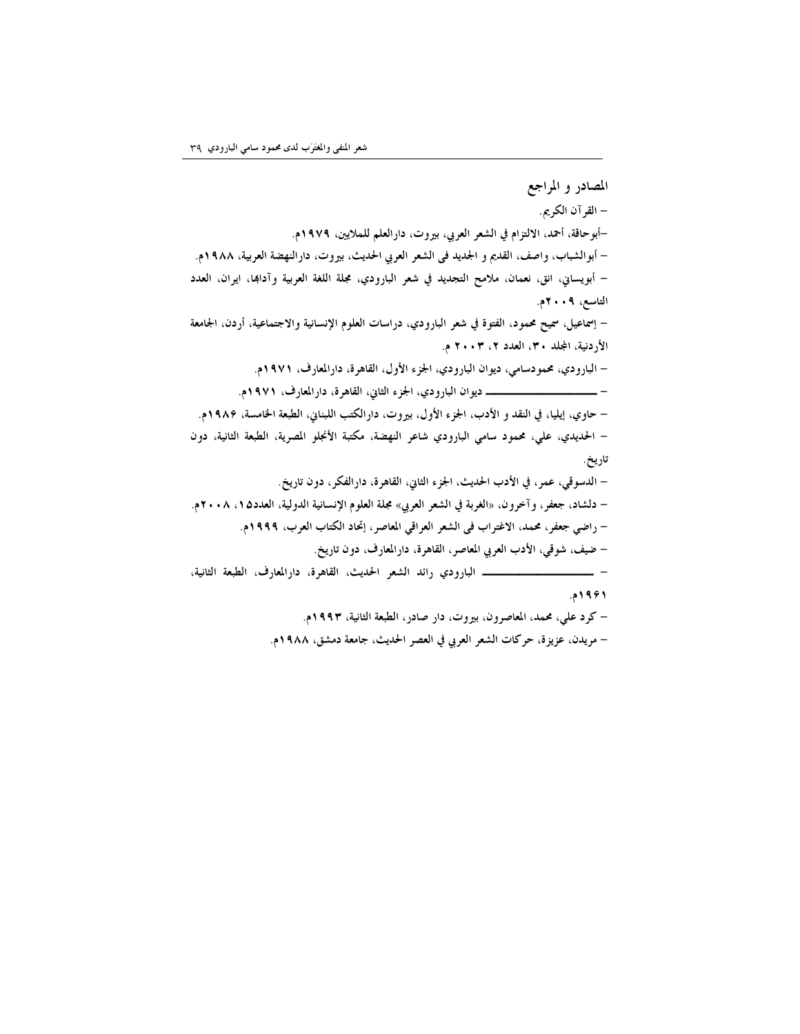المصادر و المراجع – القرآن الكريم. –أبوحاقة، أحمد، الالتزام في الشعر العربي، بيروت، دارالعلم للملايين، ١٩٧٩م. – أبوالشباب، واصف، القديم و الجديد في الشعر العربي الحديث، بيروت، دارالنهضة العربية، ١٩٨٨م. – أبويساني، انق، نعمان، ملامح التجديد في شعر البارودي، مجلة اللغة العربية وآدابما، ايران، العدد التاسع، ۲۰۰۹م. – إسماعيل، سميح محمود، الفتوة في شعر البارودي، دراسات العلوم الإنسانية والاجتماعية، أردن، الجامعة الأردنية، المجلد ٣٠، العدد ٢، ٢٠٠٣ م. – البارودي، محمودسامي، ديوان البارودي، الجزء الأول، القاهرة، دارالمعارف، ١٩٧١م. – حاوي، إيليا، في النقد و الأدب، الجزء الأول، بيروت، دارالكتب اللبناني، الطبعة الخامسة، ١٩٨۶م. – الحديدي، على، محمود سامي البارودي شاعر النهضة، مكتبة الأنجلو المصرية، الطبعة الثانية، دون تاريخ. – الدسوقي، عمر ، في الأدب الحديث، الجزء الثاني، القاهر ة، دار الفكر ، دون تاريخ. – دلشاد، جعفر، وآخرون، «الغربة في الشعر العربي» مجلة العلوم الإنسانية الدولية، العدد١٥، ٢٠٠٨م. – راضي جعفر، محمد، الاغتراب في الشعر العراقي المعاصر، إتحاد الكتاب العرب، ١٩٩٩م. – ضيف، شوقي، الأدب العربي المعاصر، القاهرة، دارالمعارف، دون تاريخ. ۹۶۱م. – كرد على، محمد، المعاصرون، بيروت، دار صادر، الطبعة الثانية، ١٩٩٣م.

– مريدن، عزيزة، حركات الشعر العربي في العصر الحديث، جامعة دمشق، ١٩٨٨م.